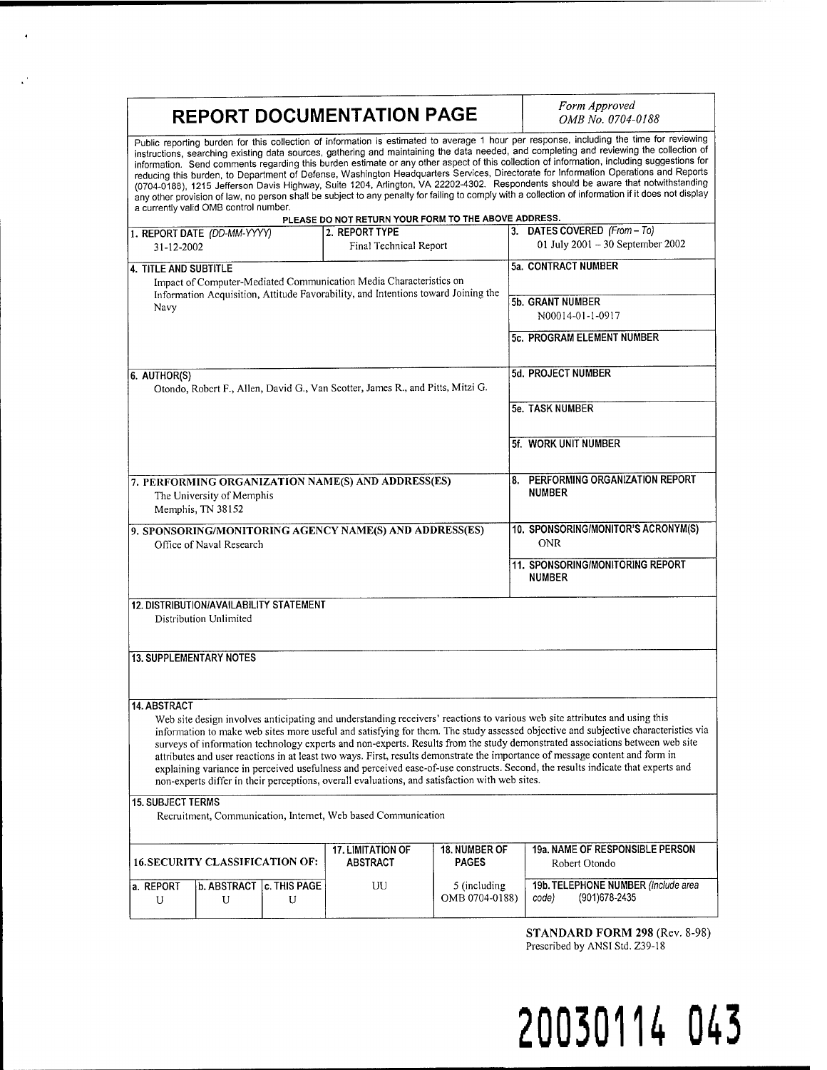| <b>REPORT DOCUMENTATION PAGE</b>                                                                                                                                                                                                                                                                                                                                                                                                                                                                                                                                                                                                                                                                                                                                                                                                                                                                                                                                        |  |                        |                                 | Form Approved<br>OMB No. 0704-0188                             |
|-------------------------------------------------------------------------------------------------------------------------------------------------------------------------------------------------------------------------------------------------------------------------------------------------------------------------------------------------------------------------------------------------------------------------------------------------------------------------------------------------------------------------------------------------------------------------------------------------------------------------------------------------------------------------------------------------------------------------------------------------------------------------------------------------------------------------------------------------------------------------------------------------------------------------------------------------------------------------|--|------------------------|---------------------------------|----------------------------------------------------------------|
| Public reporting burden for this collection of information is estimated to average 1 hour per response, including the time for reviewing<br>instructions, searching existing data sources, gathering and maintaining the data needed, and completing and reviewing the collection of<br>information. Send comments regarding this burden estimate or any other aspect of this collection of information, including suggestions for<br>reducing this burden, to Department of Defense, Washington Headquarters Services, Directorate for Information Operations and Reports<br>(0704-0188), 1215 Jefferson Davis Highway, Suite 1204, Arlington, VA 22202-4302. Respondents should be aware that notwithstanding<br>any other provision of law, no person shall be subject to any penalty for failing to comply with a collection of information if it does not display<br>a currently valid OMB control number.<br>PLEASE DO NOT RETURN YOUR FORM TO THE ABOVE ADDRESS. |  |                        |                                 |                                                                |
| 1. REPORT DATE (DD-MM-YYYY)                                                                                                                                                                                                                                                                                                                                                                                                                                                                                                                                                                                                                                                                                                                                                                                                                                                                                                                                             |  | 2. REPORT TYPE         |                                 | 3. DATES COVERED (From - To)                                   |
| 31-12-2002                                                                                                                                                                                                                                                                                                                                                                                                                                                                                                                                                                                                                                                                                                                                                                                                                                                                                                                                                              |  | Final Technical Report |                                 | 01 July 2001 - 30 September 2002                               |
| 4. TITLE AND SUBTITLE                                                                                                                                                                                                                                                                                                                                                                                                                                                                                                                                                                                                                                                                                                                                                                                                                                                                                                                                                   |  |                        |                                 | 5a. CONTRACT NUMBER                                            |
| Impact of Computer-Mediated Communication Media Characteristics on<br>Information Acquisition, Attitude Favorability, and Intentions toward Joining the<br>Navy                                                                                                                                                                                                                                                                                                                                                                                                                                                                                                                                                                                                                                                                                                                                                                                                         |  |                        |                                 | 5b. GRANT NUMBER<br>N00014-01-1-0917                           |
|                                                                                                                                                                                                                                                                                                                                                                                                                                                                                                                                                                                                                                                                                                                                                                                                                                                                                                                                                                         |  |                        |                                 | 5c. PROGRAM ELEMENT NUMBER                                     |
| 6. AUTHOR(S)<br>Otondo, Robert F., Allen, David G., Van Scotter, James R., and Pitts, Mitzi G.                                                                                                                                                                                                                                                                                                                                                                                                                                                                                                                                                                                                                                                                                                                                                                                                                                                                          |  |                        |                                 | 5d. PROJECT NUMBER                                             |
|                                                                                                                                                                                                                                                                                                                                                                                                                                                                                                                                                                                                                                                                                                                                                                                                                                                                                                                                                                         |  |                        |                                 | 5e. TASK NUMBER                                                |
|                                                                                                                                                                                                                                                                                                                                                                                                                                                                                                                                                                                                                                                                                                                                                                                                                                                                                                                                                                         |  |                        |                                 | 5f. WORK UNIT NUMBER                                           |
| 7. PERFORMING ORGANIZATION NAME(S) AND ADDRESS(ES)<br>The University of Memphis<br>Memphis, TN 38152                                                                                                                                                                                                                                                                                                                                                                                                                                                                                                                                                                                                                                                                                                                                                                                                                                                                    |  |                        |                                 | 8. PERFORMING ORGANIZATION REPORT<br><b>NUMBER</b>             |
| 9. SPONSORING/MONITORING AGENCY NAME(S) AND ADDRESS(ES)<br>Office of Naval Research                                                                                                                                                                                                                                                                                                                                                                                                                                                                                                                                                                                                                                                                                                                                                                                                                                                                                     |  |                        |                                 | 10. SPONSORING/MONITOR'S ACRONYM(S)<br><b>ONR</b>              |
|                                                                                                                                                                                                                                                                                                                                                                                                                                                                                                                                                                                                                                                                                                                                                                                                                                                                                                                                                                         |  |                        |                                 | 11. SPONSORING/MONITORING REPORT<br><b>NUMBER</b>              |
| <b>12. DISTRIBUTION/AVAILABILITY STATEMENT</b><br>Distribution Unlimited                                                                                                                                                                                                                                                                                                                                                                                                                                                                                                                                                                                                                                                                                                                                                                                                                                                                                                |  |                        |                                 |                                                                |
| <b>13. SUPPLEMENTARY NOTES</b>                                                                                                                                                                                                                                                                                                                                                                                                                                                                                                                                                                                                                                                                                                                                                                                                                                                                                                                                          |  |                        |                                 |                                                                |
| <b>14. ABSTRACT</b>                                                                                                                                                                                                                                                                                                                                                                                                                                                                                                                                                                                                                                                                                                                                                                                                                                                                                                                                                     |  |                        |                                 |                                                                |
| Web site design involves anticipating and understanding receivers' reactions to various web site attributes and using this<br>information to make web sites more useful and satisfying for them. The study assessed objective and subjective characteristics via<br>surveys of information technology experts and non-experts. Results from the study demonstrated associations between web site<br>attributes and user reactions in at least two ways. First, results demonstrate the importance of message content and form in<br>explaining variance in perceived usefulness and perceived ease-of-use constructs. Second, the results indicate that experts and<br>non-experts differ in their perceptions, overall evaluations, and satisfaction with web sites.                                                                                                                                                                                                   |  |                        |                                 |                                                                |
| <b>15. SUBJECT TERMS</b><br>Recruitment, Communication, Internet, Web based Communication                                                                                                                                                                                                                                                                                                                                                                                                                                                                                                                                                                                                                                                                                                                                                                                                                                                                               |  |                        |                                 |                                                                |
| <b>17. LIMITATION OF</b><br><b>16. SECURITY CLASSIFICATION OF:</b><br><b>ABSTRACT</b><br><b>PAGES</b>                                                                                                                                                                                                                                                                                                                                                                                                                                                                                                                                                                                                                                                                                                                                                                                                                                                                   |  |                        | <b>18. NUMBER OF</b>            | <b>19a. NAME OF RESPONSIBLE PERSON</b><br>Robert Otondo        |
| c. THIS PAGE<br><b>b. ABSTRACT</b><br>a. REPORT<br>U<br>U<br>U                                                                                                                                                                                                                                                                                                                                                                                                                                                                                                                                                                                                                                                                                                                                                                                                                                                                                                          |  | UU                     | 5 (including)<br>OMB 0704-0188) | 19b. TELEPHONE NUMBER (Include area<br>(901) 678-2435<br>code) |

 $\bar{\mathbf{A}}$ 

 $\mathbf{v}^{\prime}$ 

**STANDARD FORM 298** (Rev. 8-98) Prescribed by ANSI Std. Z39-18

# **20030114 043**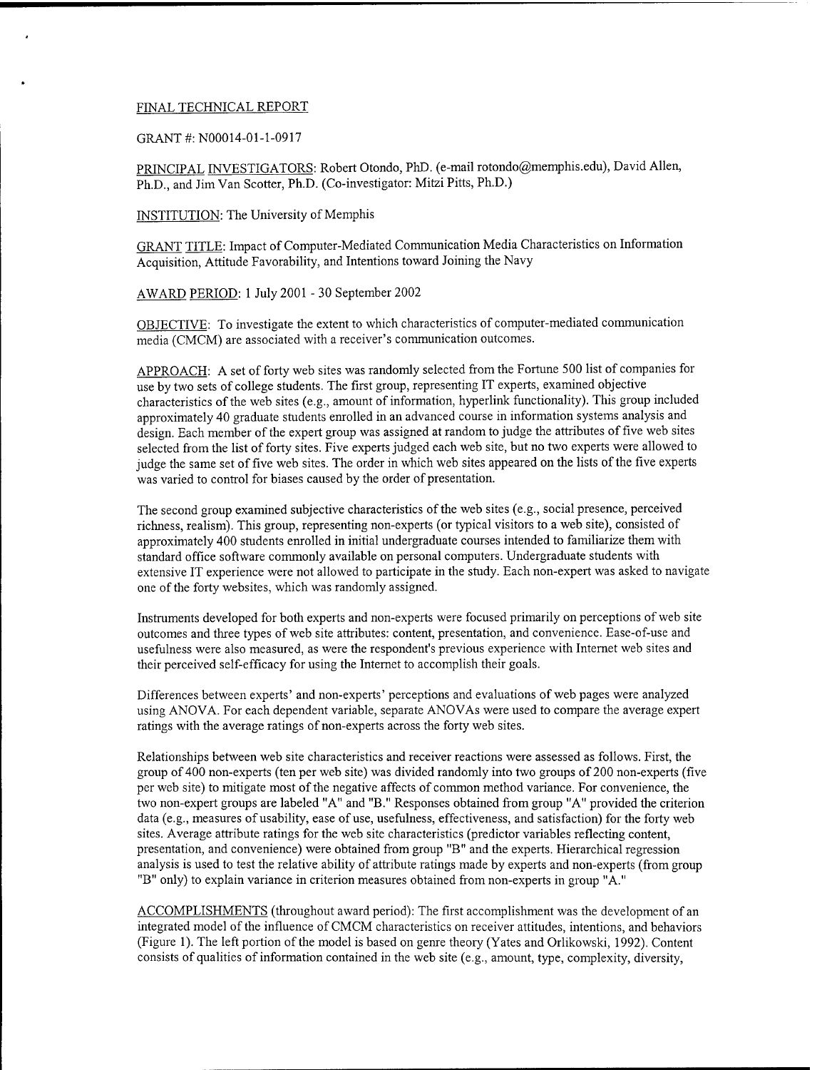#### FINAL TECHNICAL REPORT

GRANT #: N00014-01-1-0917

PRINCIPAL INVESTIGATORS: Robert Otondo, PhD. (e-mail rotondo@memphis.edu), David Allen, Ph.D., and Jim Van Scotter, Ph.D. (Co-investigator: Mitzi Pitts, Ph.D.)

INSTITUTION: The University of Memphis

GRANT TITLE: Impact of Computer-Mediated Communication Media Characteristics on Information Acquisition, Attitude Favorability, and Intentions toward Joining the Navy

AWARD PERIOD: <sup>1</sup> July 2001 - 30 September 2002

OBJECTIVE: To investigate the extent to which characteristics of computer-mediated communication media (CMCM) are associated with a receiver's communication outcomes.

APPROACH: A set of forty web sites was randomly selected from the Fortune 500 list of companies for use by two sets of college students. The first group, representing IT experts, examined objective characteristics ofthe web sites (e.g., amount of information, hyperlink functionality). This group included approximately 40 graduate students enrolled in an advanced course in information systems analysis and design. Each member of the expert group was assigned at random to judge the attributes of five web sites selected from the list of forty sites. Five experts judged each web site, but no two experts were allowed to judge the same set of five web sites. The order in which web sites appeared on the lists of the five experts was varied to control for biases caused by the order of presentation.

The second group examined subjective characteristics of the web sites (e.g., social presence, perceived richness, realism). This group, representing non-experts (or typical visitors to a web site), consisted of approximately 400 students enrolled in initial undergraduate courses intended to familiarize them with standard office software commonly available on personal computers. Undergraduate students with extensive IT experience were not allowed to participate in the study. Each non-expert was asked to navigate one of the forty websites, which was randomly assigned.

Instruments developed for both experts and non-experts were focused primarily on perceptions of web site outcomes and three types of web site attributes: content, presentation, and convenience. Ease-of-use and usefulness were also measured, as were the respondent's previous experience with Internet web sites and their perceived self-efficacy for using the Internet to accomplish their goals.

Differences between experts' and non-experts' perceptions and evaluations of web pages were analyzed using ANOVA. For each dependent variable, separate ANOVAs were used to compare the average expert ratings with the average ratings of non-experts across the forty web sites.

Relationships between web site characteristics and receiver reactions were assessed as follows. First, the group of 400 non-experts (ten per web site) was divided randomly into two groups of 200 non-experts (five per web site) to mitigate most of the negative affects of common method variance. For convenience, the two non-expert groups are labeled "A" and "B." Responses obtained from group "A" provided the criterion data (e.g., measures of usability, ease of use, usefulness, effectiveness, and satisfaction) for the forty web sites. Average attribute ratings for the web site characteristics (predictor variables reflecting content, presentation, and convenience) were obtained from group "B" and the experts. Hierarchical regression analysis is used to test the relative ability of attribute ratings made by experts and non-experts (from group "B" only) to explain variance in criterion measures obtained from non-experts in group "A."

ACCOMPLISHMENTS (throughout award period): The first accomplishment was the development of an integrated model ofthe influence ofCMCM characteristics on receiver attitudes, intentions, and behaviors (Figure 1). The left portion ofthe model is based on genre theory (Yates and Orlikowski, 1992). Content consists of qualities of information contained in the web site (e.g., amount, type, complexity, diversity,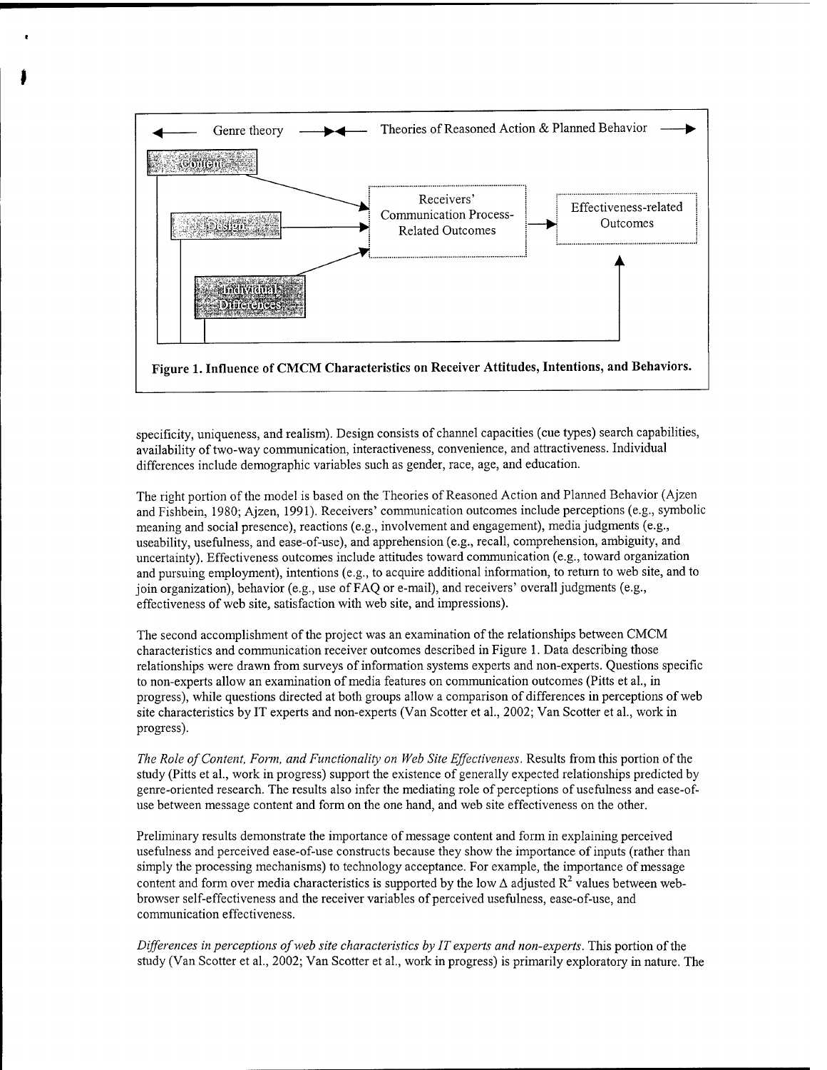

specificity, uniqueness, and realism). Design consists of channel capacities (cue types) search capabilities, availability of two-way communication, interactiveness, convenience, and attractiveness. Individual differences include demographic variables such as gender, race, age, and education.

The right portion of the model is based on the Theories of Reasoned Action and Planned Behavior (Ajzen and Fishbein, 1980; Ajzen, 1991). Receivers' communication outcomes include perceptions (e.g., symbolic meaning and social presence), reactions (e.g., involvement and engagement), media judgments (e.g., useability, usefulness, and ease-of-use), and apprehension (e.g., recall, comprehension, ambiguity, and uncertainty). Effectiveness outcomes include attitudes toward communication (e.g., toward organization and pursuing employment), intentions (e.g., to acquire additional information, to return to web site, and to join organization), behavior (e.g., use of FAQ or e-mail), and receivers' overall judgments (e.g., effectiveness of web site, satisfaction with web site, and impressions).

The second accomplishment of the project was an examination of the relationships between CMCM characteristics and communication receiver outcomes described in Figure 1. Data describing those relationships were drawn from surveys of information systems experts and non-experts. Questions specific to non-experts allow an examination of media features on communication outcomes (Pitts et al., in progress), while questions directed at both groups allow a comparison of differences in perceptions of web site characteristics by IT experts and non-experts (Van Scotter et al, 2002; Van Scotter et al., work in progress).

*The Role ofContent, Form, and Functionality on Web Site Effectiveness.* Results from this portion ofthe study (Pitts et al., work in progress) support the existence of generally expected relationships predicted by genre-oriented research. The results also infer the mediating role of perceptions of usefulness and ease-ofuse between message content and form on the one hand, and web site effectiveness on the other.

Preliminary results demonstrate the importance of message content and form in explaining perceived usefulness and perceived ease-of-use constructs because they show the importance of inputs (rather than simply the processing mechanisms) to technology acceptance. For example, the importance of message content and form over media characteristics is supported by the low  $\Delta$  adjusted  $\mathrm{R}^2$  values between webbrowser self-effectiveness and the receiver variables of perceived usefulness, ease-of-use, and communication effectiveness.

*Differences in perceptions ofweb site characteristics by IT experts and non-experts.* This portion ofthe study (Van Scotter et al., 2002; Van Scotter et al., work in progress) is primarily exploratory in nature. The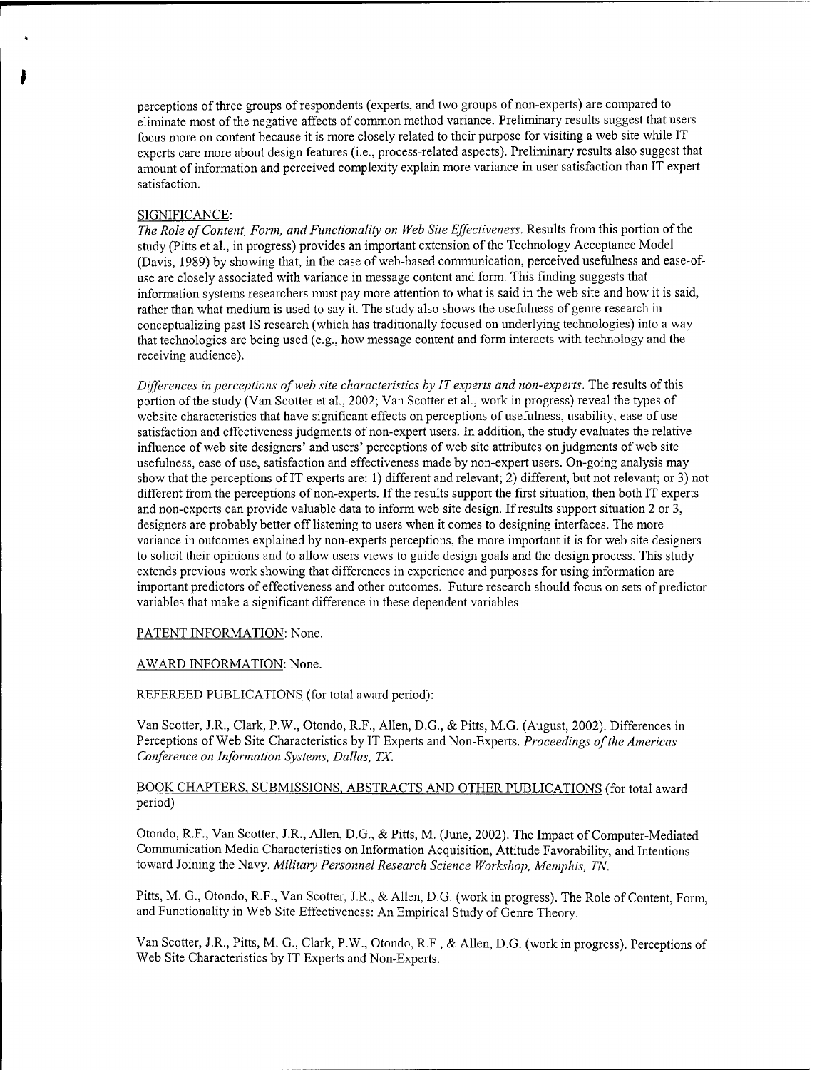perceptions of three groups of respondents (experts, and two groups of non-experts) are compared to eliminate most ofthe negative affects of common method variance. Preliminary results suggest that users focus more on content because it is more closely related to their purpose for visiting a web site while IT experts care more about design features (i.e., process-related aspects). Preliminary results also suggest that amount of information and perceived complexity explain more variance in user satisfaction than IT expert satisfaction.

#### SIGNIFICANCE:

*The Role ofContent, Form, and Functionality on Web Site Effectiveness.* Results from this portion ofthe study (Pitts et al., in progress) provides an important extension of the Technology Acceptance Model (Davis, 1989) by showing that, in the case of web-based communication, perceived usefulness and ease-ofuse are closely associated with variance in message content and form. This finding suggests that information systems researchers must pay more attention to what is said in the web site and how it is said, rather than what medium is used to say it. The study also shows the usefulness of genre research in conceptualizing past IS research (which has traditionally focused on underlying technologies) into a way that technologies are being used (e.g., how message content and form interacts with technology and the receiving audience).

*Differences in perceptions ofweb site characteristics by ITexperts and non-experts.* The results ofthis portion of the study (Van Scotter et al., 2002; Van Scotter et al., work in progress) reveal the types of website characteristics that have significant effects on perceptions of usefulness, usability, ease of use satisfaction and effectiveness judgments of non-expert users. In addition, the study evaluates the relative influence of web site designers' and users' perceptions of web site attributes on judgments of web site usefulness, ease of use, satisfaction and effectiveness made by non-expert users. On-going analysis may show that the perceptions ofIT experts are: 1) different and relevant; 2) different, but not relevant; or 3) not different from the perceptions of non-experts. If the results support the first situation, then both IT experts and non-experts can provide valuable data to inform web site design. Ifresults support situation 2 or 3, designers are probably better offlistening to users when it comes to designing interfaces. The more variance in outcomes explained by non-experts perceptions, the more important it is for web site designers to solicit their opinions and to allow users views to guide design goals and the design process. This study extends previous work showing that differences in experience and purposes for using information are important predictors of effectiveness and other outcomes. Future research should focus on sets of predictor variables that make a significant difference in these dependent variables.

## PATENT INFORMATION: None.

### AWARD INFORMATION: None.

### REFEREED PUBLICATIONS (for total award period):

Van Scotter, J.R, Clark, P.W, Otondo, R.F, Allen, D.G, & Pitts, M.G. (August, 2002). Differences in Perceptions of Web Site Characteristics by IT Experts and Non-Experts. *Proceedings of the Americas Conference on Information Systems, Dallas, TX.*

# BOOK CHAPTERS. SUBMISSIONS. ABSTRACTS AND OTHER PUBLICATIONS (for total award period)

Otondo, R.F., Van Scotter, J.R., Allen, D.G., & Pitts, M. (June, 2002). The Impact of Computer-Mediated Communication Media Characteristics on Information Acquisition, Attitude Favorability, and Intentions toward Joining the Navy. *Military Personnel Research Science Workshop, Memphis, TN.*

Pitts, M. G., Otondo, R.F., Van Scotter, J.R., & Allen, D.G. (work in progress). The Role of Content, Form, and Functionality in Web Site Effectiveness: An Empirical Study of Genre Theory.

Van Scotter, J.R., Pitts, M. G., Clark, P.W., Otondo, R.F., & Allen, D.G. (work in progress). Perceptions of Web Site Characteristics by IT Experts and Non-Experts.